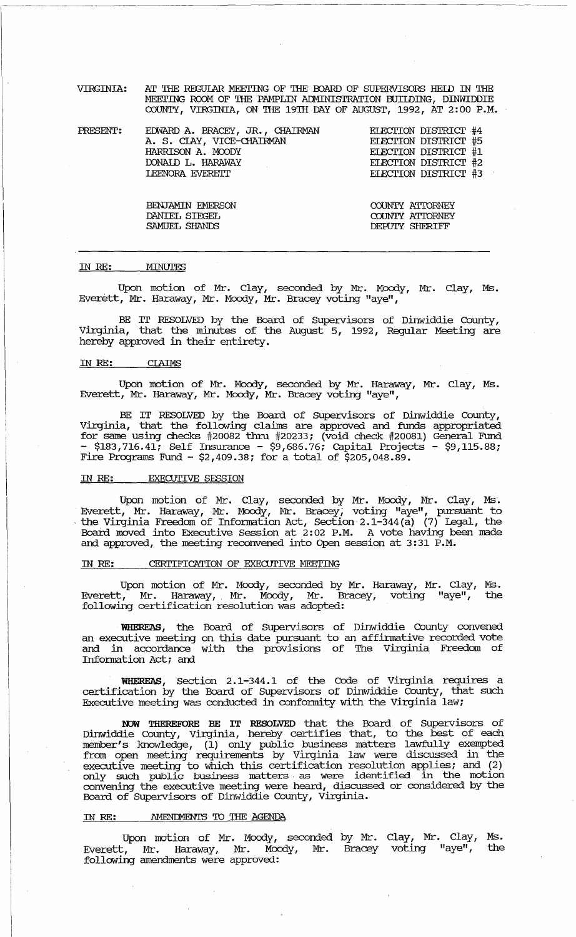VIRGINIA: AT THE REGOIAR MEEI'ING OF THE OOARD OF SUPERVISORS HElD IN THE MEEl'ING ROOM OF THE PAMPIlli ALMINISTRATION BUIIDING, DINWIDDIE COUNTY, VIRGINIA, ON THE 19'IH DAY OF AUGUST, 1992, AT 2: 00 P.M.

-------.-------.-----------------------------~~~-~--------------- --------

**PRESENT:** EDWARD A. BRACEY, JR., CHAIRMAN A. S. ClAY, VICE-cHAIRMAN HARRISON A. MOODY DONAID L. HARAWAY LEENORA EVEREIT

> BENJAMIN EMERSON DANIEL SIEGEL SAMUEL SHANDS

EIECI'ION DIS'IRIcr #4 EIECI'ION DIS'IRIcr #5 EIEcrION DIS'IRIcr #1 EIEcrION DIS'IRIcr #2 EIECTION DISTRICT #3

COUNTY ATTORNEY COUNTY ATTORNEY DEPUTY SHERIFF

#### IN RE: MINUTES

Upon motion of Mr. Clay, seconded by Mr. Moody, Mr. Clay, Ms. Everett, Mr. Haraway, Mr. Moody, Mr. Bracey voting "aye",

BE IT RESOLVED by the Board of Supervisors of Dinwiddie County, Virginia, that the minutes of the August 5, 1992, Regular Meeting are hereby approved in their eptirety.

### IN RE: CIAIMS

Upon motion of Mr. Moody, seconded by Mr. Haraway, Mr. Clay, Ms. Everett, Mr. Haraway, Mr. Moody, Mr. Bracey voting "aye",

BE IT RESOLVED by the Board of Supervisors of Dinwiddie County, Virginia, that the following claims are approved and funds appropriated for same using checks #20082 thru #20233; (void check #20081) General Fund<br>- \$183,716.41; Self Insurance - \$9,686.76; Capital Projects - \$9,115.88; Fire Programs Fund - \$2,409.38; for a total of \$205,048.89.

# IN RE: EXECUTIVE SESSION

Upon motion of Mr. Clay, seconded by Mr. Moody, Mr. Clay, Ms'. Everett, Mr. Haraway, Mr. Moody, Mr. Bracey; voting "aye", pursuant to , the Virginia Freedom of Infomation Act, Section 2.1-344(a) (7) Legal, the Board moved into Executive Session at 2:02 P.M. A vote having been made and approved, the meeting reconvened into Open session at 3:31 P.M.

## IN RE: CERTIFICATION OF EXECUTIVE MEETING

Upon motion of Mr. Moody, seconded by Mr. Haraway, Mr. clay, Ms. Everett, Mr. Haraway, Mr. Moody, Mr. Bracey, voting lIaye", the following certification resolution was adopted:

WHEREAS, the Board of Supervisors of Dinwiddie County convened an executive meeting on this date pursuant to an affimative recorded vote and in accordance with the provisions of The Virginia Freedom of Infomation Act; and

WHEREAS, Section 2.1-344.1 of the Code of Virginia requires a certification by the Board of Supervisors of Dinwiddie County, that such Executive meeting was conducted in conformity with the Virginia law;

NOW THEREFORE BE IT RESOLVED that the Board of Supervisors of Dinwiddie County, Virginia, hereby certifies that, to the best of each member's knowledge, (1) only public business matters lawfully exempted from open meeting requirements by Virginia law were discussed in the executive meeting to which this certification resolution applies; and (2) only such public business matters, as were identified in the motion convening the executive meeting were heard, discussed or considered by the Board of Supervisors of Dinwiddie County, Virginia.

## IN RE: AMENDMENTS TO THE AGENDA

Upon motion of Mr. Moody, seconded by Mr. Clay, Mr. Clay, Ms. Everett, Mr. Haraway, Mr. Moody, Mr. Bracey voting "aye", following amendments were approved: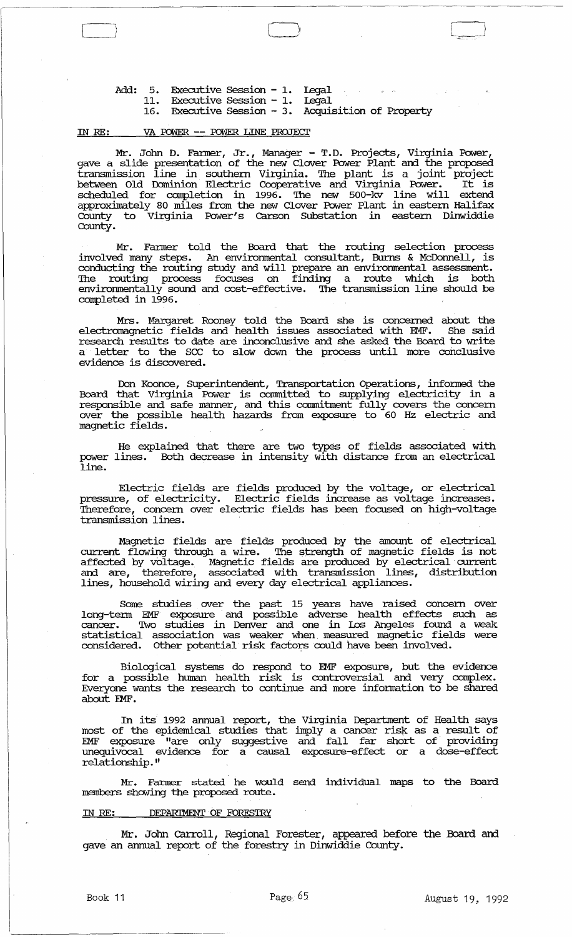Add: 5. Executive Session - 1. Legal Executive session - I.  $\label{eq:1} \mathcal{L}_{\mathcal{L}}(\mathcal{L}_{\mathcal{L}}) = \mathcal{L}_{\mathcal{L}}(\mathcal{L}_{\mathcal{L}}) = \mathcal{L}_{\mathcal{L}}(\mathcal{L}_{\mathcal{L}}) = \mathcal{L}_{\mathcal{L}}(\mathcal{L}_{\mathcal{L}})$ 11. Executive Session - 1. Legal Executive session - 1. 16. Executive session - 3. Acquisition of Property

## IN RE: VA rowER. **--** rowER. LINE PROJEcr

Mr. John D. Fanner, Jr., Manager - T.D. Projects, Virginia Power, gave a slide presentation of the new Clover Power Plant and the proposed transmission line in southern Virginia. 'Ihe plant is a joint project between Old Dominion Electric Cooperative and Virginia Power. It is scheduled for completion in 1996. The new 500-kv line will extend approximately 80 miles from the new Clover Power Plant in eastern Halifax County to Virginia Power's carson SUbstation in eastern Dinwiddie County.

Mr. Fanner told the Board that the routing selection process involved many steps. An environmental consultant, Burns & McDonnell, is conducting the routing study and will prepare an envirornnental assessment. The routing process focuses on finding a route which is both envirornnentally sound and cost-effective. The transmission line should be completed in 1996.

Mrs. Margaret Rooney told the Board she is concerned about the electromagnetic fields and health issues associated with EMF. She said research results to date are inconclusive and she asked the Board to write a letter to the sec to slow down the process until more conclusive evidence is discovered.

Don Koonce, SUperintendent, Transportation Operations, informed the Board that Virginia Power is comnitted to supplying electricity in a responsible and safe manner, and this comnitment fully covers the concern over the possible health hazards from exposure to 60 Hz electric and magnetic fields.

He explained that there are two types of fields associated with power lines. Both decrease in intensity with distance from an electrical line.

Electric fields are fields produced by the voltage, or electrical pressure, of electricity. Electric fields increase as voltage increases. Therefore, concern over electric fields has been focused on high-voltage transmission lines.

Magnetic fields are fields produced by the amount of electrical current flowing through a wire. The strength of magnetic fields is not affected by voltage. Magnetic fields are produced by electrical· current and are, therefore, associated with transmission lines, distribution lines, household wiring and every day electrical appliances.

Some studies over the past 15 years have raised concern over long-tenn EMF exposure and possible adverse health effects such as cancer. '!Wo studies in Denver and one in Los Angeles found a weak statistical association was weaker when measured magnetic fields were considered. Other potential risk factors could have been involved.

Biological systems do respond to EMF exposure, but the evidence for a possible human health risk is controversial and very complex. Everyone wants the research to continue and more infonnation to be shared about EMF.

In its 1992 annual report, the Virginia Department of Health says most of the epidemical studies that imply a cancer risk as a result of EMF exposure "are only suggestive and fall far short of· providing unequivocal evidence for a causal exposure-effect or a dose-effect relationship."

Mr. Fanner stated he would send individual maps to the Board members showing the proposed route.

## IN RE: DEPARIMENT OF FORESTRY

Mr. John Carroll, Regional Forester, appeared before the Board and gave an annual report of the forestry in Dinwiddie County.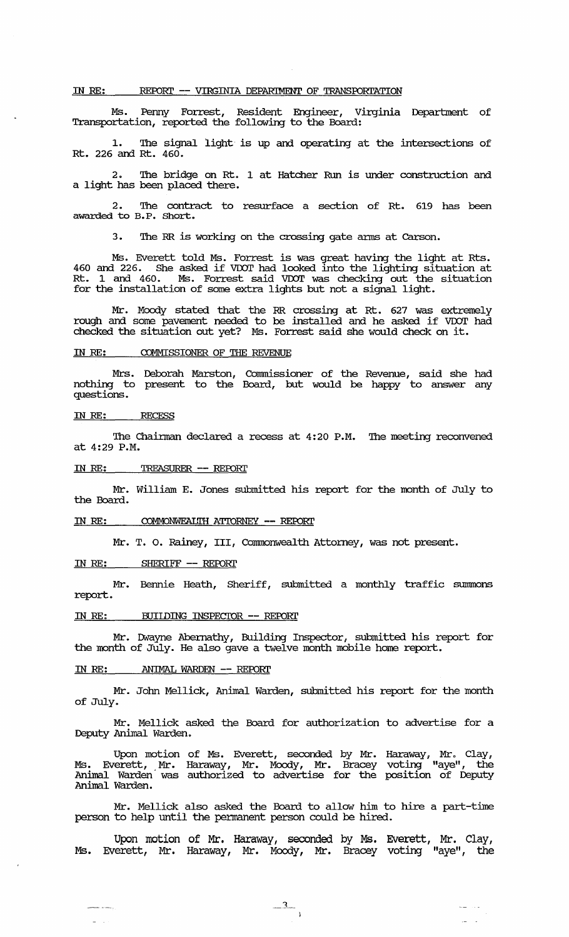## IN RE: REPORT -- VIRGINIA DEPARIMENT OF TRANSPORTATION

Ms. Penny Forrest, Resident Engineer, Virginia Department of Transportation, reported the following to the Board:

1. The signal light is up and operating at the intersections of Rt. 226 and Rt. 460.

2. The bridge on Rt. 1 at Hatcher Run is under construction and a light has been placed there.

2. The contract to resurface a section of Rt. 619 has been awarded to B.P. Short.

3. The RR is working on the crossing gate arms at Carson.

Ms. Everett told Ms. Forrest is was great having the light at Rts. <sup>460</sup>and 226. She asked if voor had looked into the lighting situation at Rt. 1 and 460. Ms. Forrest said VDOT was checking out the situation for the installation of some extra lights but not a signal light.

Mr. Moody stated that the RR crossing at Rt. 627 was extremely rough and some pavement needed to be installed and he asked if VDOT had checked the situation out yet? Ms. Forrest said she would check on it.

# IN RE: COMMISSIONER OF THE REVENUE

Mrs. Deborah Marston, Commissioner of the Revenue, said she had nothing to present to the Board, but would be happy to answer any questions.

## IN RE: RECESS

The Chairman declared a recess at 4:20 P.M. The meeting reconvened at 4:29 P.M.

## IN RE: TREASURER -- REroRI'

Mr. William E. Jones submitted his report for the month of July to the Board.

### IN RE: COMMONWEALTH ATTORNEY -- REPORT

Mr. T. O. Rainey, III, Commonwealth Attorney, was not present.

## IN RE: SHERIFF -- REPORT

Mr. Bennie Heath, Sheriff, submitted a monthly traffic summons report.

# IN RE: BUIIDING INSPECTOR -- REPORT

Mr. Dwayne Abernathy, Building Inspector, submitted his report for the month of  $J\overset{\cdot}{\mathrm{u}}ly$ . He also gave a twelve month mobile home report.

## IN RE: ANIMAL WARDEN -- REPORT

an an an Aonaichte.<br>Tagairtí

 $\mathbb{Z}^{\mathbb{Z}^2}$  .

Mr. John Mellick, Animal Warden, submitted his report for the month of July.

Mr. Mellick asked the Board for authorization to advertise for a Deputy Animal Warden.

Upon motion of Ms. Everett, seconded by Mr. Haraway, Mr. Clay, Ms. Everett, Mr. Haraway, Mr. Moody, Mr. Bracey voting "ayeil , the Animal Warden' was authorized to advertise for the position of Deputy Animal Warden.

Mr. Mellick also asked the Board to allow him to hire a part-time person to help until the pennanent person could be hired.

Upon motion of Mr. Haraway, seconded by Ms. Everett, Mr. Clay, Ms. Everett, Mr. Haraway, Mr. Moody, Mr. Bracey voting "aye", the

 $-3$ 

 $\omega_{\rm{max}}$  , and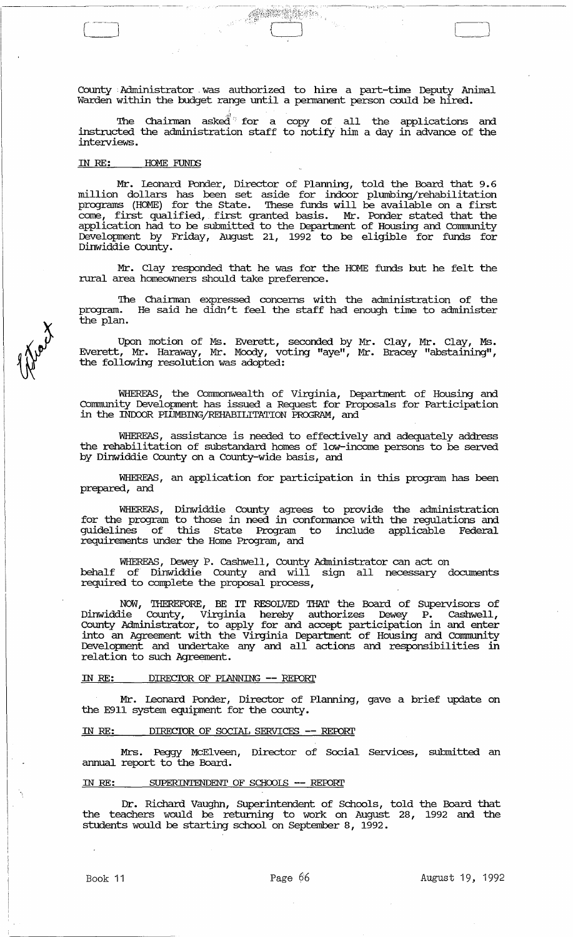County Administrator was authorized to hire a part-time Deputy Animal Warden within the budget range until a pennanent person could be hired.

**SERET MODE** 

The Chairman asked for a copy of all the applications and instructed the administration staff to notify him a day in advance of the interviews.

## IN *RE:* HOME FUNIlS

Mr. Leonard Ponder, Director of Planning, told the Board that 9.6 million dollars has been set aside for indoor plumbing/rehabilitation programs (HOME) for the State. '!hese funds will be available on a first come, first qualified, first granted basis. Mr. Ponder stated that the application had to be submitted to the Department of Housing and Community Development by Friday, August 21, 1992 to be eligible for funds for Dinwiddie County.

Mr. Clay responded that he was for the HOME funds but he felt the rural area homeowners should take preference.

The Chairman expressed concerns with the administration of the program. He said he didn't feel the staff had enough time to administer the plan.

Upon motion of Ms. Everett, seconded by Mr. Clay, Mr. Clay, Ms. Everett, Mr. Haraway, Mr. Moody, voting "aye", Mr. Bracey "abstaining", the following resolution was adopted:

WHEREAS, the Commonwealth of Virginia, Department of Housing and corrmmity Development has issued a Request for Proposals for Participation in the INDOOR PIDMBING/REHABILITATION PROGRAM, and

WHEREAS, assistance is needed to effectively and adequately address the rehabilitation of substandard homes of low-income persons to be served by Dinwiddie County on a county-wide basis, and

WHEREAS, an application for participation in this program has been prepared, and

WHEREAS, Dinwiddie County agrees to provide the administration for the program to those in need in confonnance with the regulations and guidelines of this state Program to include applicable Federal requirements under the Home Program, and

WHEREAS, Dewey P. Cashwell, County Administrator can act on behalf of Dinwiddie County and will sign all necessary documents required to complete the proposal process,

NOW, *THEREFORE,* BE IT RESOLVED THAT the Board of supervisors of Dinwiddie County, Virginia hereby authorizes Dewey P. Cashwell, County Administrator, to apply for and accept participation in and enter into an Agreement with the Virginia Department of Housing and Community Development and undertake any and all actions and responsibilities in relation to such Agreement.

# IN RE: DIRECTOR OF PLANNING -- REPORT

Mr. Leonard Ponder, Director of Planning, gave a brief update on the E911 system equipment for the county.

# IN RE: DIRECTOR OF SOCIAL SERVICES -- REPORT

Mrs. Peggy McElveen, Director of Social Services, submitted an annual report to the Board.

## IN RE: SUPERINTENDENT OF SCHOOLS **--** REFDRl'

Dr. Richard Vaughn, Superintendent of Schools, told the Board that the teachers would be returning to work on August 28, 1992 and the students would be starting school on September 8, 1992.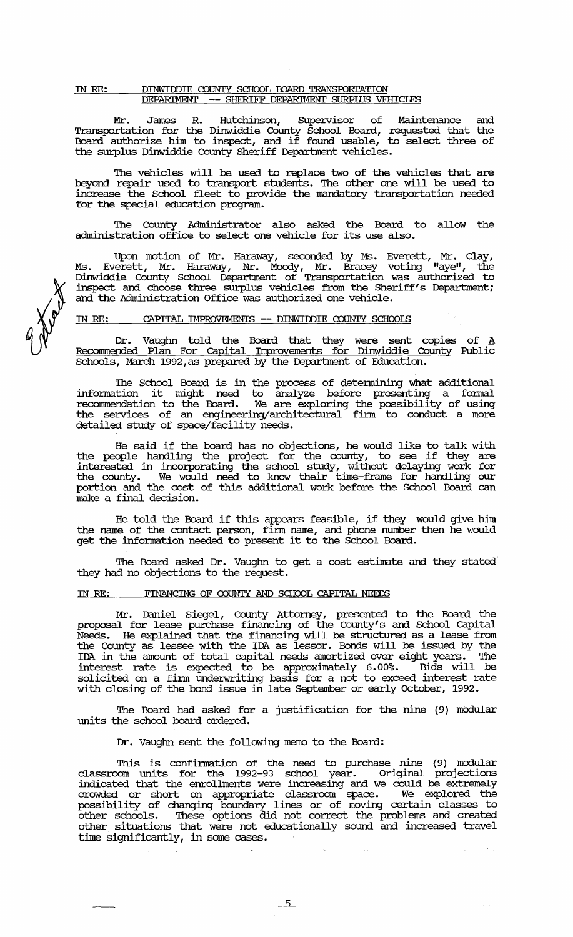## IN RE: DINWIDDIE COUNTY SCHOOL BOARD TRANSPORTATION DEPARIMENT -- SHERIFF DEPARIMENT SURPIUS VEHICLES

Mr. James R. Hutchinson, Supervisor of Maintenance and Transportation for the Dinwiddie County School Board, requested that the Board authorize him to inspect, and if found usable, to select three of the surplus Dinwiddie County Sheriff Department vehicles.

The vehicles will be used to replace two of the vehicles that are beyond repair used to transport students. The other one will be used to increase the School fleet to provide the mandatory transportation needed for the special education program.

The County Administrator also asked the Board to allow the administration office to select one vehicle for its use also.

Upon motion of Mr. Haraway, seconded by Ms. Everett, Mr. Clay, Ms. Everett, Mr. Haraway, Mr. Moody, Mr. Bracey voting "aye", the Dinwiddie County School Deparbnent of Transportation was authorized to inspect and choose three surplus vehicles from the Sheriff's Department; and the Administration Office was authorized one vehicle.

# IN RE: CAPITAL IMPROVEMENTS -- DINWIDDIE COUNTY SCHOOLS

Dr. Vaughn told the Board that they were sent copies of A Recommended Plan For Capital Improvements for Dinwiddie County Public Schools, March 1992, as prepared by the Department of Education.

The school Board is in the process of detennining what additional information it might need to analyze before presenting a formal recommendation to the Board. We are exploring the possibility of using the services of an engineering/architectural finn to conduct a more detailed study of space/facility needs.

He said if the board has no objections, he would like to talk with the people handling the project for the county, to see if they are interested in incorporating the school study, without delaying work for the county. We would need to know their time-frame for handling our portion and the cost of this additional work before the School Board can make a final decision.

He told the Board if this appears feasible, if they would give him the name of the contact person, finn name, and phone number then he would get the information needed to present it to the School Board.

The Board asked Dr. Vaughn to get a cost estimate and they stated they had no objections to the request.

## IN RE: FINANCING OF COUNTY AND SCHOOL CAPITAL NEEDS

Mr. Daniel Siegel, County Attorney, presented to the Board the proposal for lease purchase financing of the County's and School capital Needs. He explained that the financing will be structured as a lease from the County as lessee with the IDA as lessor. Bonds will be issued by the IDA in the amount of total capital needs amortized over eight years. The interest rate is expected to be approximately 6.00%. Bids will be solicited on a finn underwriting basis for a not to exceed interest rate with closing of the bond issue in late September or early October, 1992.

The Board had asked for a justification for the nine (9) modular units the school board ordered.

Dr. Vaughn sent the following memo to the Board:

This is confirmation of the need to purchase nine (9) modular classroom units for the 1992-93 school year. Original projections indicated that the enrollments were increasing and we could be extremely crowded or short on appropriate classroom space. We explored the possibility of changing boundary lines or of moving certain classes to other schools. These options did not correct the problems and created other situations that were not educationally sound and increased travel time significantly, in some cases.

 $\mathcal{A}_\mathrm{A}$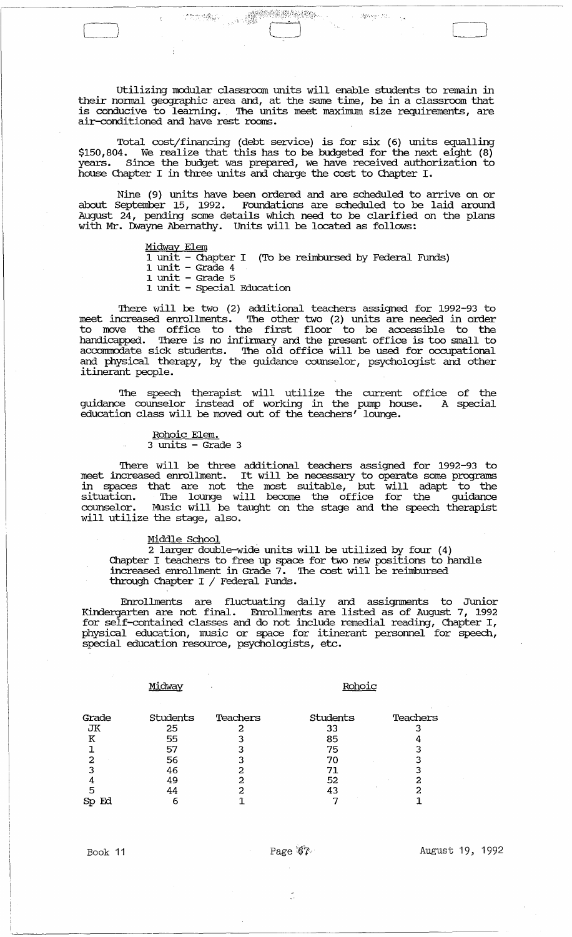Utilizing modular classroom units will enable students to remain in their nonnal geographic area and, at the same time, be in a classroom that is conducive to learning. The units meet maximum size requirements, are air-conditioned and have rest rooms.

~-.----------------------,----------~---------------

J;:-.,.'" \_ i

Total cost/financing (debt service) is for six (6) units equalling \$150,804. We realize that this has to be budgeted for the next eight (8) years. since the budget was prepared, we have received authorization to house Chapter I in three units and charge the cost to Chapter I.

Nine (9) units have been ordered and are scheduled to arrive on or about september 15, 1992. Foundations are scheduled to be laid around August 24, pending some details which need to be clarified on the plans with Mr. Dwayne Abernathy. Units will be located as follows:

Midway Elem

 $\Box$ 

1 unit - Chapter I (To be reimbursed by Federal Funds)

- $1$  unit  $-$  Grade 4
- 1 unit Grade 5
- 1 unit special Education

'!here will be two (2) additional teachers assigned for 1992-93 to meet increased enrollments. '!he other two (2) units are needed in order to move the office to the first floor to be accessible to the handicapped. There is no infirmary and the present office is too small to accommodate sick students. The old office will be used for occupational and physical therapy, by the guidance counselor, psychologist and other itinerant people.

The speech therapist will utilize the current office of the guidance counselor instead of working in the pump house. A special education class will be moved out of the teachers' lounge.

> Rohoic Elem. 3 units - Grade 3

There will be three additional teachers assigned for 1992-93 to meet increased enrollment. It will be necessary to operate some programs in spaces that are not the most suitable, but will adapt to the situation. The lounge will become the office for the guidance counselor. Music will be taught on the stage and the speech therapist will utilize the stage, also.

### Middle School

2 larger double-wide units will be utilized by four (4) Chapter I teachers to free up space for two new positions to handle increased enrollment in Grade 7. The cost will be reimbursed through Chapter I / Federal Funds.

Enrollments are fluctuating daily and assignments to Junior Kindergarten are not final. Enrollments are listed as of August 7, 1992 for self-contained classes and do not include remedial reading, Chapter I, physical education, music or space for itinerant personnel for speech, special education resource, psychologists, etc.

Midway Rohoic

| Grade    | <b>Students</b> | Teachers | <b>Students</b> | Teachers |
|----------|-----------------|----------|-----------------|----------|
| JК       | 25              |          | 33              |          |
| к        | 55              |          | 85              |          |
|          | 57              |          | 75              |          |
|          | 56              |          |                 |          |
|          | 46              |          |                 |          |
|          | 49              | າ        | 52              |          |
| 5        | 44              |          |                 |          |
| Ed<br>Sp | 6               |          |                 |          |
|          |                 |          |                 |          |

 $\ddot{\cdot}$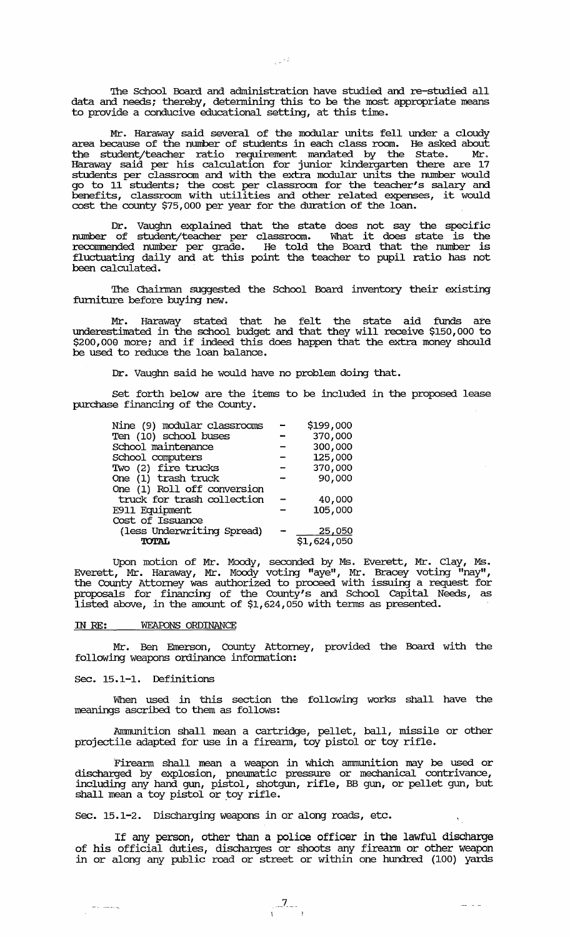The School Board and administration have studied and re-studied all data and needs; thereby, detennining this to be the most appropriate means to provide a conducive educational setting, at this time.

Mr. Haraway said several of the modular units fell under a cloudy area because of the number of students in each class room. He asked about the student/teacher ratio requirement mandated by the State. Mr. Haraway said per his calculation for junior kindergarten there are 17 students per classroom and with the extra modular units the number would go to 11 students; the cost per classroom for the teacher's salary and benefits, classroom with utilities and other related expenses, it would cost the county \$75,000 per year for the duration of the loan.

Dr. Vaughn explained that the state does not say the specific number of student/teacher per classroom. What it does state is the recommended number per grade. He told the Board that the number is fluctuating daily and at this point the teacher to pupil ratio has not been calculated.

The Chairman suggested the School Board inventory their existing furniture before buying new.

Mr. Haraway stated that he felt the state aid funds are underestimated in the school budget and that they will receive \$150,000 to \$200,000 more; and if indeed this does happen that the extra money should be used to reduce the loan balance.

Dr. Vaughn said he would have no problem doing that.

Set forth below are the items to be included in the proposed lease purchase financing of the County.

| Nine (9) modular classrooms | \$199,000  |
|-----------------------------|------------|
| Ten (10) school buses       | 370,000    |
| School maintenance          | 300,000    |
| School computers            | 125,000    |
| Two (2) fire trucks         | 370,000    |
| One (1) trash truck         | 90,000     |
| One (1) Roll off conversion |            |
| truck for trash collection  | 40,000     |
| E911 Equipment              | 105,000    |
| Cost of Issuance            |            |
| (less Underwriting Spread)  | 25,050     |
| <b>TOTAL</b>                | 51,624,050 |

Upon motion of Mr. Moody, seconded by Ms. Everett, Mr. Clay, Ms. Everett, Mr. Haraway, Mr. Moody voting "aye", Mr. Bracey voting "nay", the County Attorney was authorized to proceed with issuing a request for proposals for financing of the County's and School capital Needs, as listed above, in the amount of \$1,624,050 with tenus as presented.

## IN RE: WEAPONS ORDINANCE

Mr. Ben Emerson, county Attorney, provided the Board with the following weapons ordinance information:

# Sec. 15.1-1. Definitions

 $\sim$  -  $\sim$   $\sim$ 

When used in this section the following works shall have the meanings ascribed to them as follows:

Ammunition shall mean a cartridge, pellet, ball, missile or other projectile adapted for use in a firearm, toy pistol or toy rifle.

Fireann shall mean a weapon in which anununition may be used or discharged by explosion, pneumatic pressure or mechanical contrivance, including any hand gun, pistol, shotgun, rifle, BB gun, or pellet gun, but misialing any nank gan, pistol, intog<br>shall mean a toy pistol or toy rifle.

Sec. 15.1-2. Discharging weapons in or along roads, etc.

If any person, other than a police officer in the lawful discharge of his official duties, discharges or shoots any firearm or other weapon in or along any public road or street or within one hundred (100) yards

 $\frac{7}{1}$ 

ر است ست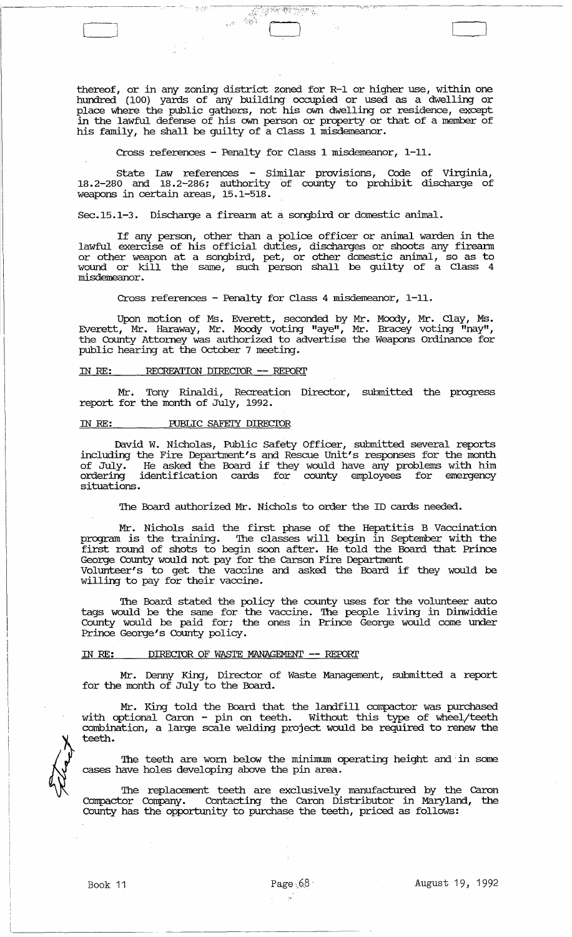thereof, or in any zoning district zoned for R-1 or higher use, within one hundred (100) yards of any building occupied or used as a dwelling or place where the public gathers, not his own dwelling or residence, except in the lawful defense of his own person or property or that of a member of his family, he shall be guilty of a Class 1 misdemeanor.

Cross references - Penalty for Class 1 misdemeanor, 1-11.

**COMPANY** 

state law references - Similar provisions, Code of Virginia, 18.2-280 and 18.2-286; authority of county to prohibit discharge of weapons in certain areas, 15.1-518.

Sec.15.1-3. Discharge a firearm at a songbird or domestic animal.

If any person, other than a police officer or animal warden in the lawful exercise of his official duties, discharges or shoots any firearm or other weapon at a songbird, pet, or other domestic animal, so as to wound or kill the same, such person shall be guilty of a Class 4 misdemeanor.

Cross references - Penalty for Class 4 misdemeanor, 1-11.

Upon motion of Ms. Everett, seconded by Mr. Moody, Mr. Clay, Ms. Everett, Mr. Haraway, Mr. Moody voting "aye", Mr. Bracey voting "nay", the County Attorney was authorized to advertise the Weapons Ordinance for public hearing at the October 7 meeting.

## IN RE: RECREATION DIRECIOR -- REPORT

Mr. Tony Rinaldi, Recreation Director, submitted the progress report for the month of July, 1992.

# IN RE: PUBLIC SAFETY DIRECTOR

David W. Nicholas, Public Safety Officer, submitted several reports including the Fire Department's and Rescue Unit's responses for the month of July. He asked the Board if they would have any problems with him ordering identification cards for county employees for emergency situations.

The Board authorized Mr. Nichols to order the ID cards needed.

Mr. Nichols said the first phase of the Hepatitis B vaccination program is the training. The classes will begin in September with the first round of shots to begin soon after. He told the Board that Prince George County would not pay for the Carson Fire Department Volunteer's to get the vaccine and asked the Board if they would be willing to pay for their vaccine.

'lhe Board stated the policy the county uses for the volunteer auto tags would be the same for the vaccine. The people living in Dinwiddie County would be paid for; the ones in Prince George would come under Prince George's County policy.

## IN RE: DIRECIDR OF WASTE MANAGEMENT -- REFDRl'

Mr. Denny King, Director of Waste Management, submitted a report for the month of July to the Board.

Mr. King told the Board that the landfill compactor was purchased with optional Caron - pin on teeth. Without this type of wheel/teeth combination, a large scale welding project would be required to renew the teeth.

The teeth are worn below the minimum operating height and in some cases have holes developing above the pin area.

The replacement teeth are exclusively manufactured by the Caron Compactor Company. Contacting the Caron Distributor in Maryland, the County has the opportunity to purchase the teeth, priced as follows: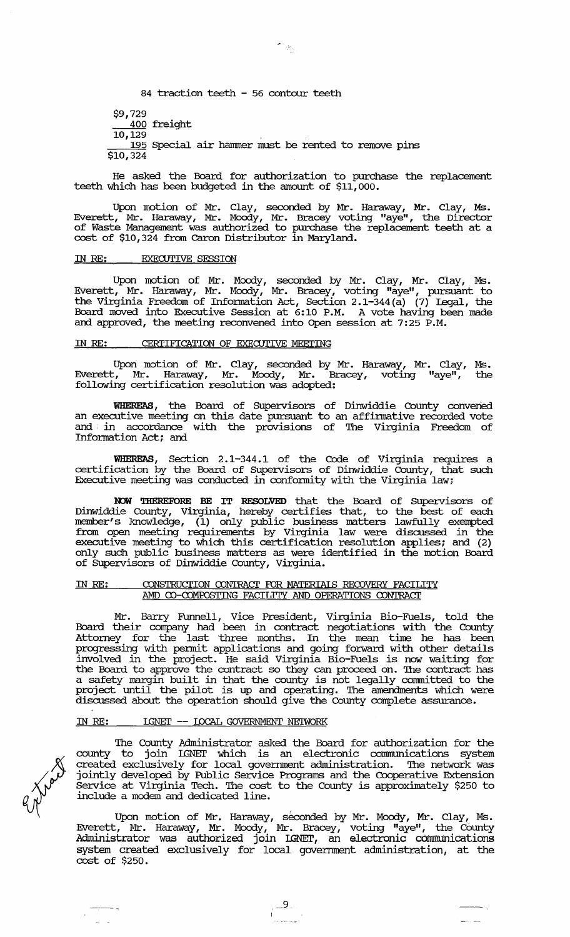84 traction teeth - 56 contour teeth

\$9,729 400 freight

 $10,129$ 

195 Special air hammer must be rented to remove pins \$10,324

He asked the Board for authorization to purchase the replacement teeth which has been budgeted in the amount of \$11,000.

Upon motion of Mr. Clay, seconded by Mr. Haraway, Mr. Clay, Ms. Everett, Mr. Haraway, Mr. Moody, Mr. Bracey voting "aye", the Director of Waste Management was authorized to purchase the replacement teeth at a cost of \$10,324 from caron Distributor in Maryland.

# IN RE: EXECUTIVE SESSION

Upon motion of Mr. Moody, seconded by Mr. Clay, Mr. Clay, Ms. Everett, Mr. Haraway, Mr. Moody, Mr. Bracey, voting "aye", pursuant to the Virginia Freedom of Infonnation Act, Section 2.1-344(a) (7) legal, the Board moved into Executive Session at 6:10 P.M. A vote having been made and approved, the meeting reconvened into Open session at 7:25 P.M.

# IN RE: CERTIFICATION OF EXECUTIVE MEETING

Upon motion of Mr. Clay, seconded by Mr. Haraway, Mr. Clay, Ms. Everett, Mr. Haraway, Mr. Moody, Mr. Bracey, voting "aye", the following certification resolution was adopted:

WHEREAS, the Board of SUpervisors of Dinwiddie County convened an executive meeting on this date pursuant to an affirmative recorded vote and in accordance with the provisions of The Virginia Freedom of Information Act; and

WHEREAS, Section 2.1-344.1 of the Code of Virginia requires a certification by the Board of Supervisors of Dinwiddie County, that such Executive meeting was conducted in conformity with the Virginia law;

NOW THEREFORE BE IT RESOLVED that the Board of Supervisors of Dinwiddie County, Virginia, hereby certifies that, to the best of each member's knowledge, (1) only public business matters lawfully exempted from open meeting requirements by Virginia law were discussed in the executive meeting to which this certification resolution applies; and (2) only such public business matters as were identified in the motion Board of SUpervisors of Dinwiddie County, Virginia.

## IN RE: CONSTRUCTION CONTRACT FOR MATERIAIS RECOVERY FACILITY AMD CO-COMPOSTING FACILITY AND OPERATIONS CONTRACT

Mr. Barry Funnell, Vice President, Virginia Bio-Fuels, told the Board their company had been in contract negotiations with the County Attorney for the last three months. In the mean time he has been progressing with pennit applications and going forward with other details involved in the project. He said Virginia Bio-Fuels is now waiting for the Board to approve the contract so they can proceed on. '!he contract has a safety margin built in that the county is not legally committed to the project until the pilot is up and operating. '!he amendments which were discussed about the operation should give the County complete assurance.

## IN RE: LGNET -- LOCAL GOVERNMENT NEIWORK

The County Administrator asked the Board for authorization for the county to join IGNEl' which is an electronic conmrunications system created exclusively for local goverrnnent administration. '!he network was jointly developed by Public service Programs and the cooperative Extension Service at Virginia Tech. '!he cost to the County is approximately \$250 to include a modem and dedicated line.

Upon motion of Mr. Haraway, seconded by Mr. Moody, Mr. Clay, Ms. Everett, Mr. Haraway, Mr. Moody, Mr. Bracey, voting "aye", the County Administrator was authorized join IGNET, an electronic communications system created exclusively for local government administration, at the cost of \$250.

 $\frac{9}{2}$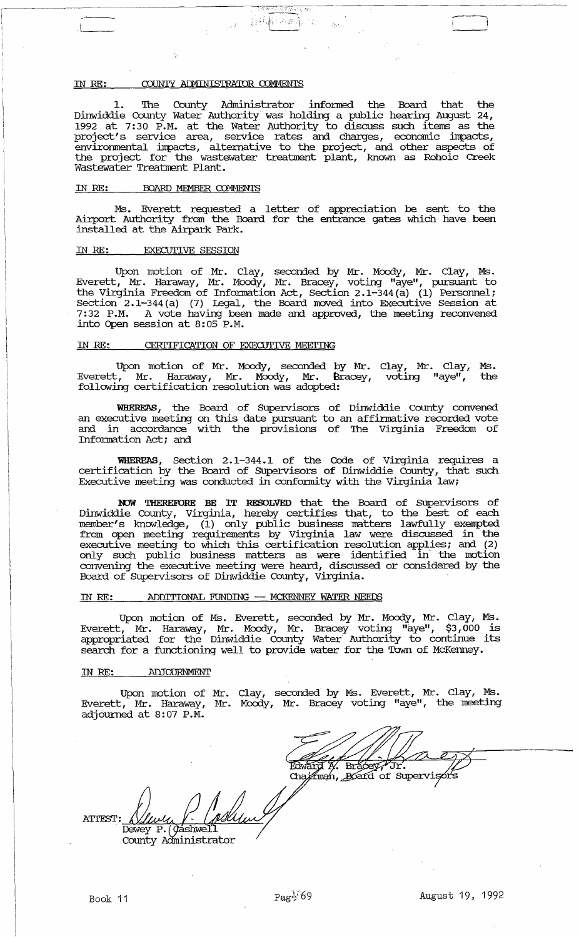### IN RE: COUNTY ADMINISTRATOR COMMENTS

1. The County Administrator informed the Board that the Dinwiddie County Water Authority was holding a public hearing August 24, 1992 at 7:30 P.M. at the Water Authority to discuss such items as the project's service area, environmental impacts, alternative to the project, and other aspects of<br>the project for the wastewater treatment plant, known as Rohoic Creek Wastewater Treatment Plant.

创新的 化一般

### IN RE: BOARD MEMBER COMMENTS

Ms. Everett requested a letter of appreciation be sent to the<br>Airport Authority from the Board for the entrance gates which have been<br>installed at the Airpark Park.

### **EXECUTIVE SESSION** IN RE:

Upon motion of Mr. Clay, seconded by Mr. Moody, Mr. Clay, Ms.<br>Everett, Mr. Haraway, Mr. Moody, Mr. Bracey, voting "aye", pursuant to<br>the Virginia Freedom of Information Act, Section 2.1-344(a) (1) Personnel;<br>Section 2.1-34

### CERTIFICATION OF EXECUTIVE MEETING IN RE:

Upon motion of Mr. Moody, seconded by Mr. Clay, Mr. Clay, Ms.<br>Everett, Mr. Haraway, Mr. Moody, Mr. Bracey, voting "aye", the the following certification resolution was adopted:

WHEREAS, the Board of Supervisors of Dinwiddie County convened<br>an executive meeting on this date pursuant to an affirmative recorded vote and in accordance with the provisions of The Virginia Freedom of Information Act; and

WHEREAS, Section 2.1-344.1 of the Code of Virginia requires a certification by the Board of Supervisors of Dinwiddie County, that such Executive meeting was conducted in conformity with the Virginia law;

NOW THEREFORE BE IT RESOLVED that the Board of Supervisors of<br>Dinwiddie County, Virginia, hereby certifies that, to the best of each<br>member's knowledge, (1) only public business matters lawfully exempted<br>from open meeting

### ADDITIONAL FUNDING -- MCKENNEY WATER NEEDS IN RE:

Upon motion of Ms. Everett, seconded by Mr. Moody, Mr. Clay, Ms.<br>Everett, Mr. Haraway, Mr. Moody, Mr. Bracey voting "aye", \$3,000 is<br>appropriated for the Dinwiddie County Water Authority to continue its search for a functioning well to provide water for the Town of McKenney.

#### IN RE: ADJOURNMENT

Upon motion of Mr. Clay, seconded by Ms. Everett, Mr. Clay, Ms.<br>Everett, Mr. Haraway, Mr. Moody, Mr. Bracey voting "aye", the meeting<br>adjourned at 8:07 P.M.

Edward H. Bracey

Chairman, Board of Supervisors

**ATTEST:** Dewey P. (*Qashwell* County Administrator